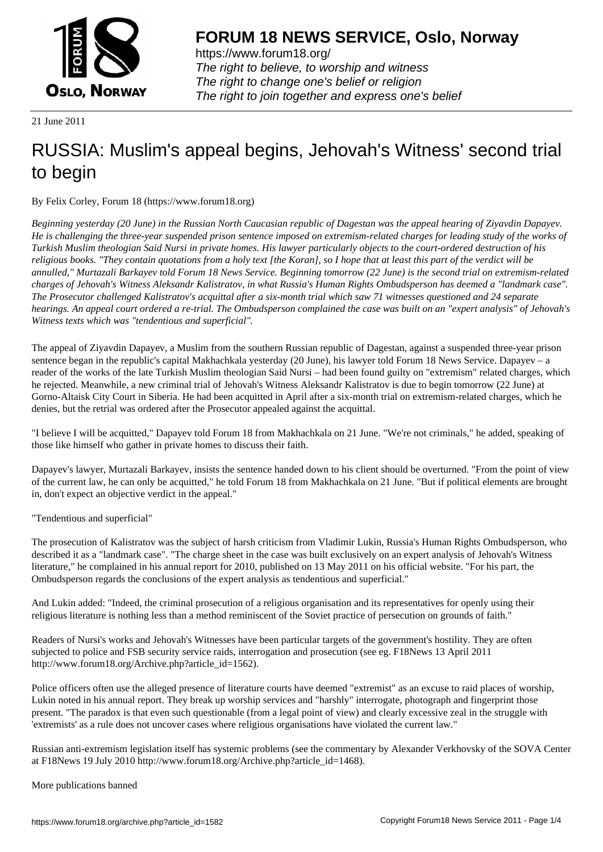

https://www.forum18.org/ The right to believe, to worship and witness The right to change one's belief or religion [The right to join together a](https://www.forum18.org/)nd express one's belief

21 June 2011

## [RUSSIA: Muslim](https://www.forum18.org)'s appeal begins, Jehovah's Witness' second trial to begin

By Felix Corley, Forum 18 (https://www.forum18.org)

*Beginning yesterday (20 June) in the Russian North Caucasian republic of Dagestan was the appeal hearing of Ziyavdin Dapayev. He is challenging the three-year suspended prison sentence imposed on extremism-related charges for leading study of the works of Turkish Muslim theologian Said Nursi in private homes. His lawyer particularly objects to the court-ordered destruction of his religious books. "They contain quotations from a holy text [the Koran], so I hope that at least this part of the verdict will be annulled," Murtazali Barkayev told Forum 18 News Service. Beginning tomorrow (22 June) is the second trial on extremism-related charges of Jehovah's Witness Aleksandr Kalistratov, in what Russia's Human Rights Ombudsperson has deemed a "landmark case". The Prosecutor challenged Kalistratov's acquittal after a six-month trial which saw 71 witnesses questioned and 24 separate hearings. An appeal court ordered a re-trial. The Ombudsperson complained the case was built on an "expert analysis" of Jehovah's Witness texts which was "tendentious and superficial".*

The appeal of Ziyavdin Dapayev, a Muslim from the southern Russian republic of Dagestan, against a suspended three-year prison sentence began in the republic's capital Makhachkala yesterday (20 June), his lawyer told Forum 18 News Service. Dapayev – a reader of the works of the late Turkish Muslim theologian Said Nursi – had been found guilty on "extremism" related charges, which he rejected. Meanwhile, a new criminal trial of Jehovah's Witness Aleksandr Kalistratov is due to begin tomorrow (22 June) at Gorno-Altaisk City Court in Siberia. He had been acquitted in April after a six-month trial on extremism-related charges, which he denies, but the retrial was ordered after the Prosecutor appealed against the acquittal.

"I believe I will be acquitted," Dapayev told Forum 18 from Makhachkala on 21 June. "We're not criminals," he added, speaking of those like himself who gather in private homes to discuss their faith.

Dapayev's lawyer, Murtazali Barkayev, insists the sentence handed down to his client should be overturned. "From the point of view of the current law, he can only be acquitted," he told Forum 18 from Makhachkala on 21 June. "But if political elements are brought in, don't expect an objective verdict in the appeal."

## "Tendentious and superficial"

The prosecution of Kalistratov was the subject of harsh criticism from Vladimir Lukin, Russia's Human Rights Ombudsperson, who described it as a "landmark case". "The charge sheet in the case was built exclusively on an expert analysis of Jehovah's Witness literature," he complained in his annual report for 2010, published on 13 May 2011 on his official website. "For his part, the Ombudsperson regards the conclusions of the expert analysis as tendentious and superficial."

And Lukin added: "Indeed, the criminal prosecution of a religious organisation and its representatives for openly using their religious literature is nothing less than a method reminiscent of the Soviet practice of persecution on grounds of faith."

Readers of Nursi's works and Jehovah's Witnesses have been particular targets of the government's hostility. They are often subjected to police and FSB security service raids, interrogation and prosecution (see eg. F18News 13 April 2011 http://www.forum18.org/Archive.php?article\_id=1562).

Police officers often use the alleged presence of literature courts have deemed "extremist" as an excuse to raid places of worship, Lukin noted in his annual report. They break up worship services and "harshly" interrogate, photograph and fingerprint those present. "The paradox is that even such questionable (from a legal point of view) and clearly excessive zeal in the struggle with 'extremists' as a rule does not uncover cases where religious organisations have violated the current law."

Russian anti-extremism legislation itself has systemic problems (see the commentary by Alexander Verkhovsky of the SOVA Center at F18News 19 July 2010 http://www.forum18.org/Archive.php?article\_id=1468).

More publications banned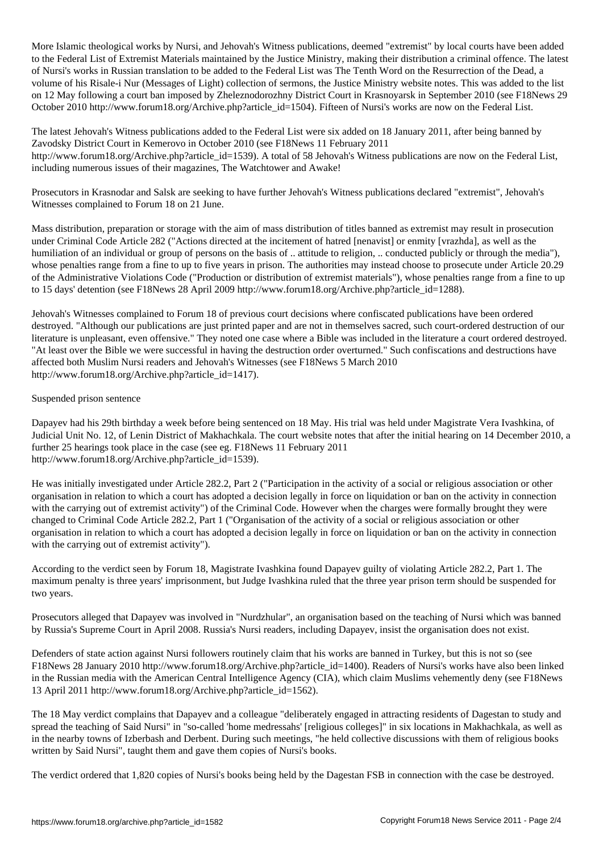More Islamic theological works by Nursi, and Jehovah's Witness publications, deemed "extremist" by local courts have been added to the Federal List of Extremist Materials maintained by the Justice Ministry, making their distribution a criminal offence. The latest of Nursi's works in Russian translation to be added to the Federal List was The Tenth Word on the Resurrection of the Dead, a volume of his Risale-i Nur (Messages of Light) collection of sermons, the Justice Ministry website notes. This was added to the list on 12 May following a court ban imposed by Zheleznodorozhny District Court in Krasnoyarsk in September 2010 (see F18News 29 October 2010 http://www.forum18.org/Archive.php?article\_id=1504). Fifteen of Nursi's works are now on the Federal List.

The latest Jehovah's Witness publications added to the Federal List were six added on 18 January 2011, after being banned by Zavodsky District Court in Kemerovo in October 2010 (see F18News 11 February 2011 http://www.forum18.org/Archive.php?article\_id=1539). A total of 58 Jehovah's Witness publications are now on the Federal List, including numerous issues of their magazines, The Watchtower and Awake!

Prosecutors in Krasnodar and Salsk are seeking to have further Jehovah's Witness publications declared "extremist", Jehovah's Witnesses complained to Forum 18 on 21 June.

Mass distribution, preparation or storage with the aim of mass distribution of titles banned as extremist may result in prosecution under Criminal Code Article 282 ("Actions directed at the incitement of hatred [nenavist] or enmity [vrazhda], as well as the humiliation of an individual or group of persons on the basis of .. attitude to religion, .. conducted publicly or through the media"), whose penalties range from a fine to up to five years in prison. The authorities may instead choose to prosecute under Article 20.29 of the Administrative Violations Code ("Production or distribution of extremist materials"), whose penalties range from a fine to up to 15 days' detention (see F18News 28 April 2009 http://www.forum18.org/Archive.php?article\_id=1288).

Jehovah's Witnesses complained to Forum 18 of previous court decisions where confiscated publications have been ordered destroyed. "Although our publications are just printed paper and are not in themselves sacred, such court-ordered destruction of our literature is unpleasant, even offensive." They noted one case where a Bible was included in the literature a court ordered destroyed. "At least over the Bible we were successful in having the destruction order overturned." Such confiscations and destructions have affected both Muslim Nursi readers and Jehovah's Witnesses (see F18News 5 March 2010 http://www.forum18.org/Archive.php?article\_id=1417).

## Suspended prison sentence

Dapayev had his 29th birthday a week before being sentenced on 18 May. His trial was held under Magistrate Vera Ivashkina, of Judicial Unit No. 12, of Lenin District of Makhachkala. The court website notes that after the initial hearing on 14 December 2010, a further 25 hearings took place in the case (see eg. F18News 11 February 2011 http://www.forum18.org/Archive.php?article\_id=1539).

He was initially investigated under Article 282.2, Part 2 ("Participation in the activity of a social or religious association or other organisation in relation to which a court has adopted a decision legally in force on liquidation or ban on the activity in connection with the carrying out of extremist activity") of the Criminal Code. However when the charges were formally brought they were changed to Criminal Code Article 282.2, Part 1 ("Organisation of the activity of a social or religious association or other organisation in relation to which a court has adopted a decision legally in force on liquidation or ban on the activity in connection with the carrying out of extremist activity").

According to the verdict seen by Forum 18, Magistrate Ivashkina found Dapayev guilty of violating Article 282.2, Part 1. The maximum penalty is three years' imprisonment, but Judge Ivashkina ruled that the three year prison term should be suspended for two years.

Prosecutors alleged that Dapayev was involved in "Nurdzhular", an organisation based on the teaching of Nursi which was banned by Russia's Supreme Court in April 2008. Russia's Nursi readers, including Dapayev, insist the organisation does not exist.

Defenders of state action against Nursi followers routinely claim that his works are banned in Turkey, but this is not so (see F18News 28 January 2010 http://www.forum18.org/Archive.php?article\_id=1400). Readers of Nursi's works have also been linked in the Russian media with the American Central Intelligence Agency (CIA), which claim Muslims vehemently deny (see F18News 13 April 2011 http://www.forum18.org/Archive.php?article\_id=1562).

The 18 May verdict complains that Dapayev and a colleague "deliberately engaged in attracting residents of Dagestan to study and spread the teaching of Said Nursi" in "so-called 'home medressahs' [religious colleges]" in six locations in Makhachkala, as well as in the nearby towns of Izberbash and Derbent. During such meetings, "he held collective discussions with them of religious books written by Said Nursi", taught them and gave them copies of Nursi's books.

The verdict ordered that 1,820 copies of Nursi's books being held by the Dagestan FSB in connection with the case be destroyed.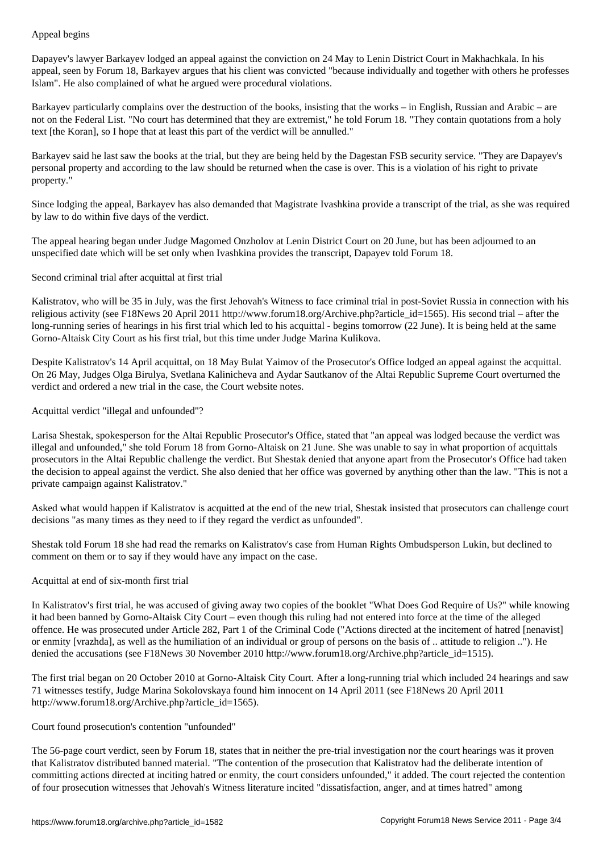Dapayev's lawyer Barkayev lodged an appeal against the conviction on 24 May to Lenin District Court in Makhachkala. In his appeal, seen by Forum 18, Barkayev argues that his client was convicted "because individually and together with others he professes Islam". He also complained of what he argued were procedural violations.

Barkayev particularly complains over the destruction of the books, insisting that the works – in English, Russian and Arabic – are not on the Federal List. "No court has determined that they are extremist," he told Forum 18. "They contain quotations from a holy text [the Koran], so I hope that at least this part of the verdict will be annulled."

Barkayev said he last saw the books at the trial, but they are being held by the Dagestan FSB security service. "They are Dapayev's personal property and according to the law should be returned when the case is over. This is a violation of his right to private property."

Since lodging the appeal, Barkayev has also demanded that Magistrate Ivashkina provide a transcript of the trial, as she was required by law to do within five days of the verdict.

The appeal hearing began under Judge Magomed Onzholov at Lenin District Court on 20 June, but has been adjourned to an unspecified date which will be set only when Ivashkina provides the transcript, Dapayev told Forum 18.

Second criminal trial after acquittal at first trial

Kalistratov, who will be 35 in July, was the first Jehovah's Witness to face criminal trial in post-Soviet Russia in connection with his religious activity (see F18News 20 April 2011 http://www.forum18.org/Archive.php?article\_id=1565). His second trial – after the long-running series of hearings in his first trial which led to his acquittal - begins tomorrow (22 June). It is being held at the same Gorno-Altaisk City Court as his first trial, but this time under Judge Marina Kulikova.

Despite Kalistratov's 14 April acquittal, on 18 May Bulat Yaimov of the Prosecutor's Office lodged an appeal against the acquittal. On 26 May, Judges Olga Birulya, Svetlana Kalinicheva and Aydar Sautkanov of the Altai Republic Supreme Court overturned the verdict and ordered a new trial in the case, the Court website notes.

Acquittal verdict "illegal and unfounded"?

Larisa Shestak, spokesperson for the Altai Republic Prosecutor's Office, stated that "an appeal was lodged because the verdict was illegal and unfounded," she told Forum 18 from Gorno-Altaisk on 21 June. She was unable to say in what proportion of acquittals prosecutors in the Altai Republic challenge the verdict. But Shestak denied that anyone apart from the Prosecutor's Office had taken the decision to appeal against the verdict. She also denied that her office was governed by anything other than the law. "This is not a private campaign against Kalistratov."

Asked what would happen if Kalistratov is acquitted at the end of the new trial, Shestak insisted that prosecutors can challenge court decisions "as many times as they need to if they regard the verdict as unfounded".

Shestak told Forum 18 she had read the remarks on Kalistratov's case from Human Rights Ombudsperson Lukin, but declined to comment on them or to say if they would have any impact on the case.

Acquittal at end of six-month first trial

In Kalistratov's first trial, he was accused of giving away two copies of the booklet "What Does God Require of Us?" while knowing it had been banned by Gorno-Altaisk City Court – even though this ruling had not entered into force at the time of the alleged offence. He was prosecuted under Article 282, Part 1 of the Criminal Code ("Actions directed at the incitement of hatred [nenavist] or enmity [vrazhda], as well as the humiliation of an individual or group of persons on the basis of .. attitude to religion .."). He denied the accusations (see F18News 30 November 2010 http://www.forum18.org/Archive.php?article\_id=1515).

The first trial began on 20 October 2010 at Gorno-Altaisk City Court. After a long-running trial which included 24 hearings and saw 71 witnesses testify, Judge Marina Sokolovskaya found him innocent on 14 April 2011 (see F18News 20 April 2011 http://www.forum18.org/Archive.php?article\_id=1565).

## Court found prosecution's contention "unfounded"

The 56-page court verdict, seen by Forum 18, states that in neither the pre-trial investigation nor the court hearings was it proven that Kalistratov distributed banned material. "The contention of the prosecution that Kalistratov had the deliberate intention of committing actions directed at inciting hatred or enmity, the court considers unfounded," it added. The court rejected the contention of four prosecution witnesses that Jehovah's Witness literature incited "dissatisfaction, anger, and at times hatred" among